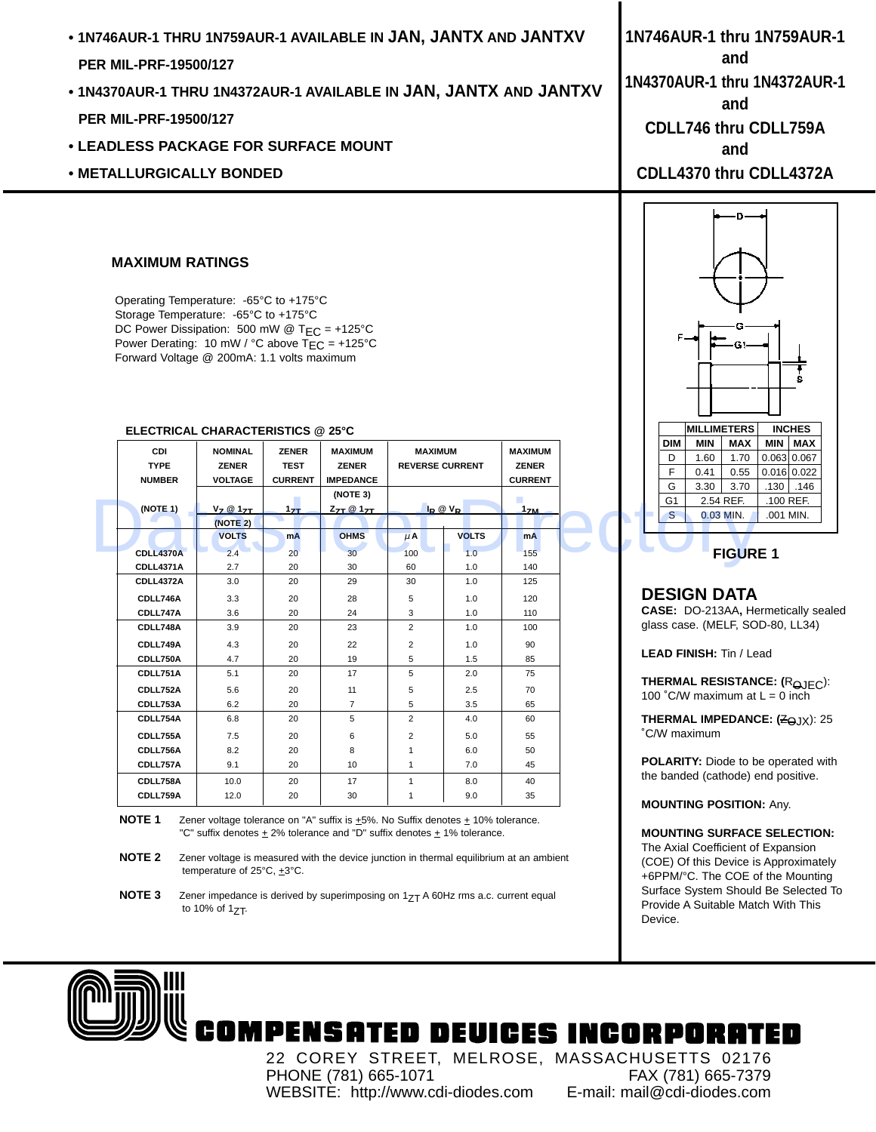- **1N746AUR-1 THRU 1N759AUR-1 AVAILABLE IN JAN, JANTX AND JANTXV PER MIL-PRF-19500/127**
- **1N4370AUR-1 THRU 1N4372AUR-1 AVAILABLE IN JAN, JANTX AND JANTXV PER MIL-PRF-19500/127**
- **LEADLESS PACKAGE FOR SURFACE MOUNT**
- **METALLURGICALLY BONDED**

### **MAXIMUM RATINGS**

Operating Temperature: -65°C to +175°C Storage Temperature: -65°C to +175°C DC Power Dissipation: 500 mW @  $T_{EC}$  = +125°C Power Derating: 10 mW / °C above T<sub>EC</sub> = +125°C Forward Voltage @ 200mA: 1.1 volts maximum

|                                            | LLLUINUAL UIIANAUTLINUITUJ ® ZJ U                                           |                                                      |                                                                                       |                                                               |              |                                                  |  |                          |                           |                                                |                                    |  |
|--------------------------------------------|-----------------------------------------------------------------------------|------------------------------------------------------|---------------------------------------------------------------------------------------|---------------------------------------------------------------|--------------|--------------------------------------------------|--|--------------------------|---------------------------|------------------------------------------------|------------------------------------|--|
| <b>CDI</b><br><b>TYPE</b><br><b>NUMBER</b> | <b>NOMINAL</b><br><b>ZENER</b><br><b>VOLTAGE</b><br>$V_Z @ 17T$<br>(NOTE 2) | <b>ZENER</b><br><b>TEST</b><br><b>CURRENT</b><br>17T | <b>MAXIMUM</b><br><b>ZENER</b><br><b>IMPEDANCE</b><br>(NOTE 3)<br>$Z_{7T}$ @ $1_{7T}$ | <b>MAXIMUM</b><br><b>REVERSE CURRENT</b><br>$I_R \otimes V_R$ |              | <b>MAXIMUM</b><br><b>ZENER</b><br><b>CURRENT</b> |  |                          | <b>DIM</b><br>D<br>F<br>G | <b>MIN</b><br>1.60<br>0.41<br>3.30             | <b>MAX</b><br>1.70<br>0.55<br>3.70 |  |
| (NOTE 1)                                   |                                                                             |                                                      |                                                                                       |                                                               |              | 1 <sub>ZM</sub>                                  |  |                          | G <sub>1</sub>            |                                                | 2.54 REF.                          |  |
|                                            |                                                                             |                                                      |                                                                                       |                                                               |              |                                                  |  |                          | S.                        | $0.03$ MIN.                                    |                                    |  |
|                                            | <b>VOLTS</b>                                                                | mA                                                   | <b>OHMS</b>                                                                           | $\mu$ A                                                       | <b>VOLTS</b> | <b>mA</b>                                        |  |                          |                           |                                                |                                    |  |
| <b>CDLL4370A</b>                           | 2.4                                                                         | 20                                                   | 30                                                                                    | 100                                                           | 1.0          | 155                                              |  |                          |                           |                                                | <b>FIGURI</b>                      |  |
| CDLL4371A                                  | 2.7                                                                         | 20                                                   | 30                                                                                    | 60                                                            | 1.0          | 140                                              |  |                          |                           |                                                |                                    |  |
| CDLL4372A                                  | 3.0                                                                         | 20                                                   | 29                                                                                    | 30                                                            | 1.0          | 125                                              |  |                          |                           |                                                |                                    |  |
| CDLL746A                                   | 3.3                                                                         | 20                                                   | 28                                                                                    | 5                                                             | 1.0          | 120                                              |  |                          |                           | <b>DESIGN DATA</b>                             |                                    |  |
| CDLL747A                                   | 3.6                                                                         | 20                                                   | 24                                                                                    | 3                                                             | 1.0          | 110                                              |  |                          |                           | CASE: DO-213AA, He                             |                                    |  |
| CDLL748A                                   | 3.9                                                                         | 20                                                   | 23                                                                                    | $\overline{2}$                                                | 1.0          | 100                                              |  |                          |                           | glass case. (MELF, SO                          |                                    |  |
| CDLL749A                                   | 4.3                                                                         | 20                                                   | 22                                                                                    | $\overline{2}$                                                | 1.0          | 90                                               |  |                          |                           |                                                |                                    |  |
| CDLL750A                                   | 4.7                                                                         | 20                                                   | 19                                                                                    | 5                                                             | 1.5          | 85                                               |  |                          |                           | <b>LEAD FINISH: Tin / Le</b>                   |                                    |  |
| CDLL751A                                   | 5.1                                                                         | 20                                                   | 17                                                                                    | 5                                                             | 2.0          | 75                                               |  |                          |                           |                                                |                                    |  |
| CDLL752A                                   | 5.6                                                                         | 20                                                   | 11                                                                                    | 5                                                             | 2.5          | 70                                               |  |                          |                           | <b>THERMAL RESISTAN</b><br>100 °C/W maximum at |                                    |  |
| CDLL753A                                   | 6.2                                                                         | 20                                                   | $\overline{7}$                                                                        | 5                                                             | 3.5          | 65                                               |  |                          |                           |                                                |                                    |  |
| CDLL754A                                   | 6.8                                                                         | 20                                                   | 5                                                                                     | $\overline{2}$                                                | 4.0          | 60                                               |  |                          |                           | <b>THERMAL IMPEDANC</b>                        |                                    |  |
| CDLL755A                                   | 7.5                                                                         | 20                                                   | 6                                                                                     | $\overline{2}$                                                | 5.0          | 55                                               |  |                          |                           | °C/W maximum                                   |                                    |  |
| CDLL756A                                   | 8.2                                                                         | 20                                                   | 8                                                                                     | 1                                                             | 6.0          | 50                                               |  |                          |                           |                                                |                                    |  |
| CDLL757A                                   | 9.1                                                                         | 20                                                   | 10                                                                                    | $\mathbf{1}$                                                  | 7.0          | 45                                               |  |                          |                           | <b>POLARITY:</b> Diode to be                   |                                    |  |
| CDLL758A                                   | 10.0                                                                        | 20                                                   | 17                                                                                    | $\mathbf{1}$                                                  | 8.0          | 40                                               |  |                          |                           | the banded (cathode) e                         |                                    |  |
| CDLL759A                                   | 12.0                                                                        | 20                                                   | 30                                                                                    | $\mathbf{1}$                                                  | 9.0          | 35                                               |  | <b>MOUNTING POSITION</b> |                           |                                                |                                    |  |

#### **ELECTRICAL CHARACTERISTICS @ 25°C**

**NOTE 1** Zener voltage tolerance on "A" suffix is  $\pm$ 5%. No Suffix denotes  $\pm$  10% tolerance. "C" suffix denotes  $\pm$  2% tolerance and "D" suffix denotes  $\pm$  1% tolerance.

**NOTE 2** Zener voltage is measured with the device junction in thermal equilibrium at an ambient temperature of 25°C, +3°C.

**1N746AUR-1 thru 1N759AUR-1 and 1N4370AUR-1 thru 1N4372AUR-1 and CDLL746 thru CDLL759A and CDLL4370 thru CDLL4372A**





#### **DESIGN DATA**

**CASE:** DO-213AA**,** Hermetically sealed glass case. (MELF, SOD-80, LL34)

**LEAD FINISH:** Tin / Lead

**THERMAL RESISTANCE:** (R<sub>AIFC</sub>): 100 °C/W maximum at  $L = 0$  inch

**THERMAL IMPEDANCE: (ZOJX): 25** ˚C/W maximum

**POLARITY:** Diode to be operated with the banded (cathode) end positive.

**MOUNTING POSITION:** Any.

#### **MOUNTING SURFACE SELECTION:**

The Axial Coefficient of Expansion (COE) Of this Device is Approximately +6PPM/°C. The COE of the Mounting Surface System Should Be Selected To Provide A Suitable Match With This Device.



## COMPENSATED DEVICES INCORPORATED

22 COREY STREET, MELROSE, MASSACHUSETTS 02176 PHONE (781) 665-1071<br>WEBSITE: http://www.cdi-diodes.com E-mail: mail@cdi-diodes.com WEBSITE: http://www.cdi-diodes.com

**NOTE 3** Zener impedance is derived by superimposing on 1<sub>ZT</sub> A 60Hz rms a.c. current equal to 10% of  $17T$ .